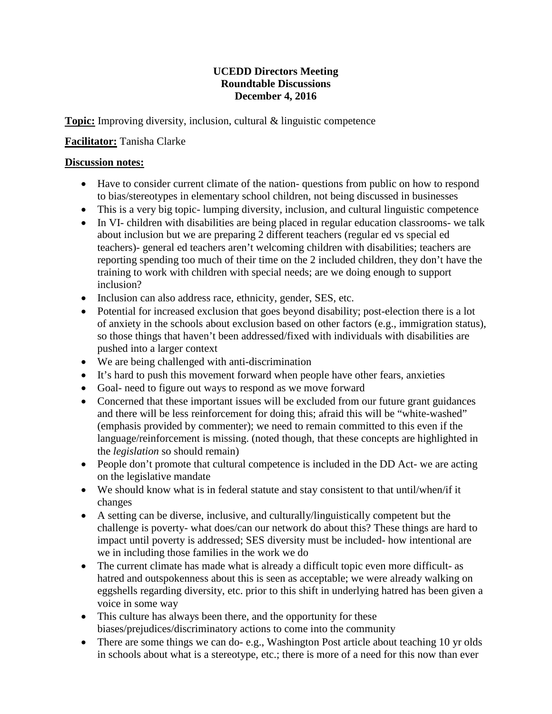## **UCEDD Directors Meeting Roundtable Discussions December 4, 2016**

**Topic:** Improving diversity, inclusion, cultural & linguistic competence

## **Facilitator:** Tanisha Clarke

## **Discussion notes:**

- Have to consider current climate of the nation-questions from public on how to respond to bias/stereotypes in elementary school children, not being discussed in businesses
- This is a very big topic- lumping diversity, inclusion, and cultural linguistic competence
- In VI- children with disabilities are being placed in regular education classrooms- we talk about inclusion but we are preparing 2 different teachers (regular ed vs special ed teachers)- general ed teachers aren't welcoming children with disabilities; teachers are reporting spending too much of their time on the 2 included children, they don't have the training to work with children with special needs; are we doing enough to support inclusion?
- Inclusion can also address race, ethnicity, gender, SES, etc.
- Potential for increased exclusion that goes beyond disability; post-election there is a lot of anxiety in the schools about exclusion based on other factors (e.g., immigration status), so those things that haven't been addressed/fixed with individuals with disabilities are pushed into a larger context
- We are being challenged with anti-discrimination
- It's hard to push this movement forward when people have other fears, anxieties
- Goal- need to figure out ways to respond as we move forward
- Concerned that these important issues will be excluded from our future grant guidances and there will be less reinforcement for doing this; afraid this will be "white-washed" (emphasis provided by commenter); we need to remain committed to this even if the language/reinforcement is missing. (noted though, that these concepts are highlighted in the *legislation* so should remain)
- People don't promote that cultural competence is included in the DD Act- we are acting on the legislative mandate
- We should know what is in federal statute and stay consistent to that until/when/if it changes
- A setting can be diverse, inclusive, and culturally/linguistically competent but the challenge is poverty- what does/can our network do about this? These things are hard to impact until poverty is addressed; SES diversity must be included- how intentional are we in including those families in the work we do
- The current climate has made what is already a difficult topic even more difficult- as hatred and outspokenness about this is seen as acceptable; we were already walking on eggshells regarding diversity, etc. prior to this shift in underlying hatred has been given a voice in some way
- This culture has always been there, and the opportunity for these biases/prejudices/discriminatory actions to come into the community
- There are some things we can do- e.g., Washington Post article about teaching 10 yr olds in schools about what is a stereotype, etc.; there is more of a need for this now than ever